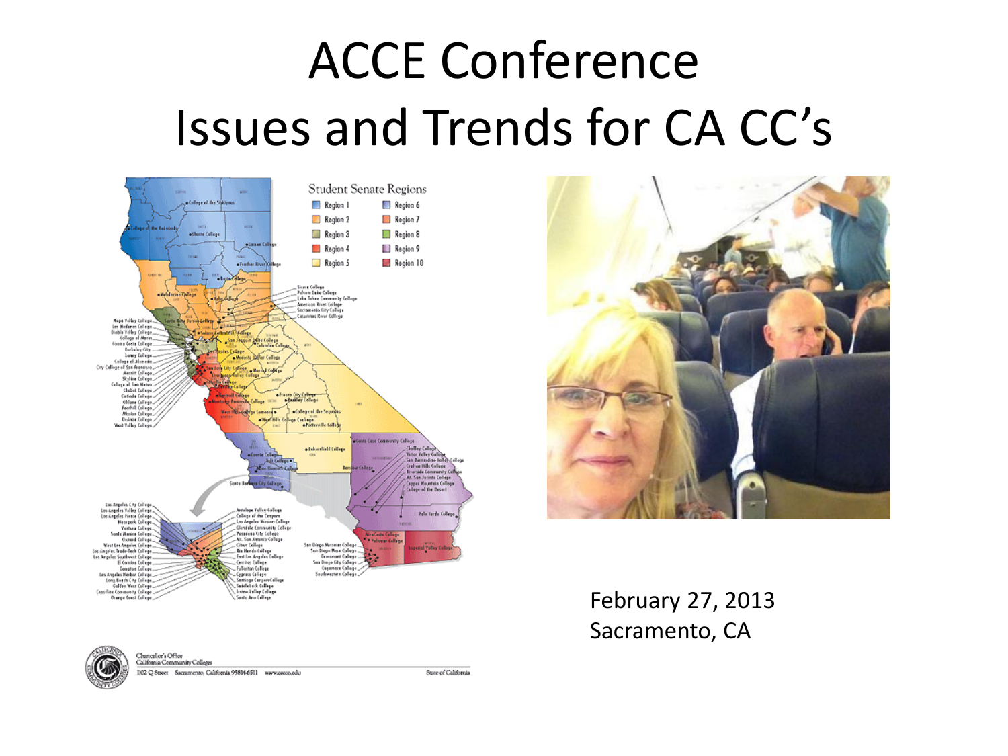# ACCE Conference Issues and Trends for CA CC's





February 27, 2013 Sacramento, CA



Chancellor's Office

California Community Colleges IJOZ Q Street Sacramento, California 95814-6511 www.cocco.edu

State of California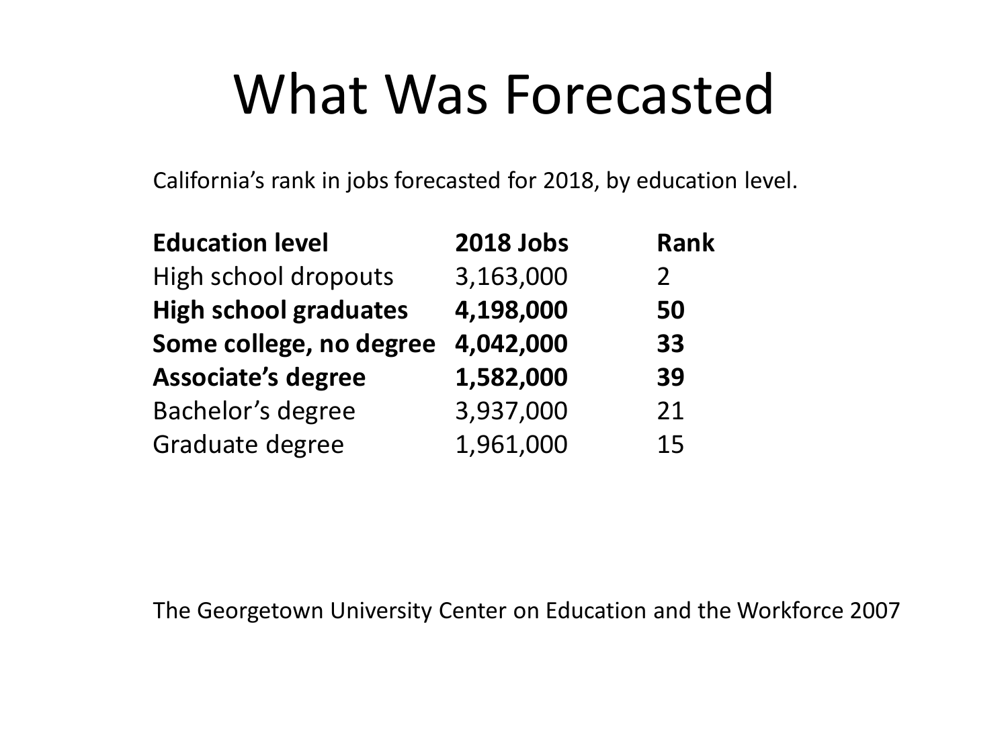## What Was Forecasted

California's rank in jobs forecasted for 2018, by education level.

| <b>Education level</b>       | <b>2018 Jobs</b> | <b>Rank</b>    |
|------------------------------|------------------|----------------|
| High school dropouts         | 3,163,000        | $\overline{2}$ |
| <b>High school graduates</b> | 4,198,000        | 50             |
| Some college, no degree      | 4,042,000        | 33             |
| <b>Associate's degree</b>    | 1,582,000        | 39             |
| Bachelor's degree            | 3,937,000        | 21             |
| Graduate degree              | 1,961,000        | 15             |

The Georgetown University Center on Education and the Workforce 2007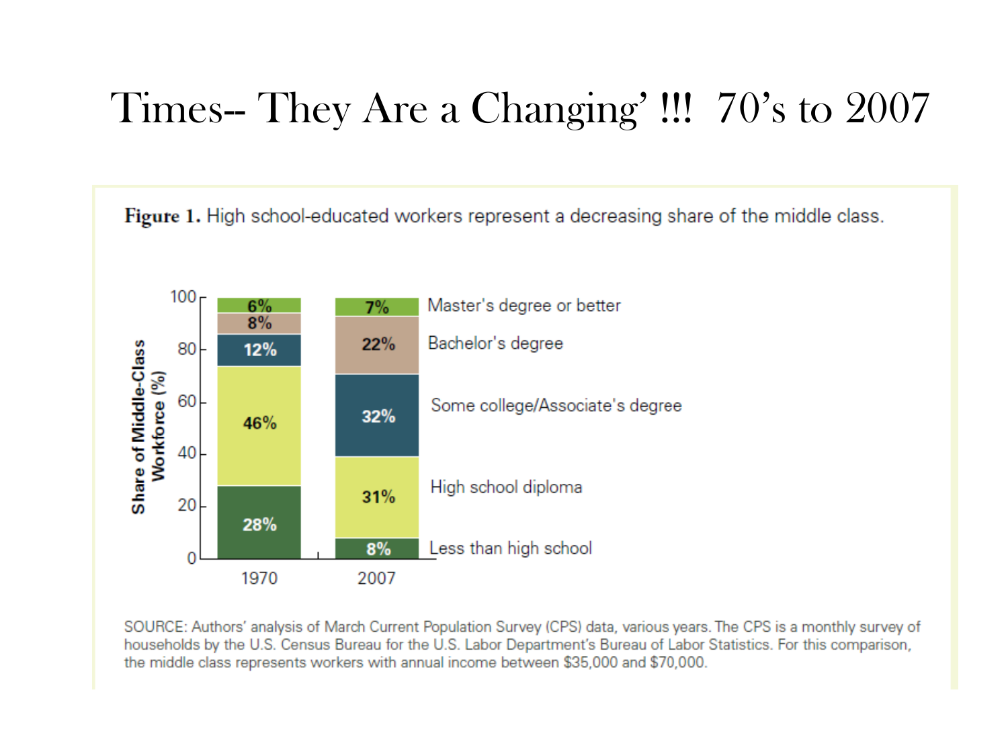### Times-- They Are a Changing' !!! 70's to 2007



SOURCE: Authors' analysis of March Current Population Survey (CPS) data, various years. The CPS is a monthly survey of households by the U.S. Census Bureau for the U.S. Labor Department's Bureau of Labor Statistics. For this comparison, the middle class represents workers with annual income between \$35,000 and \$70,000.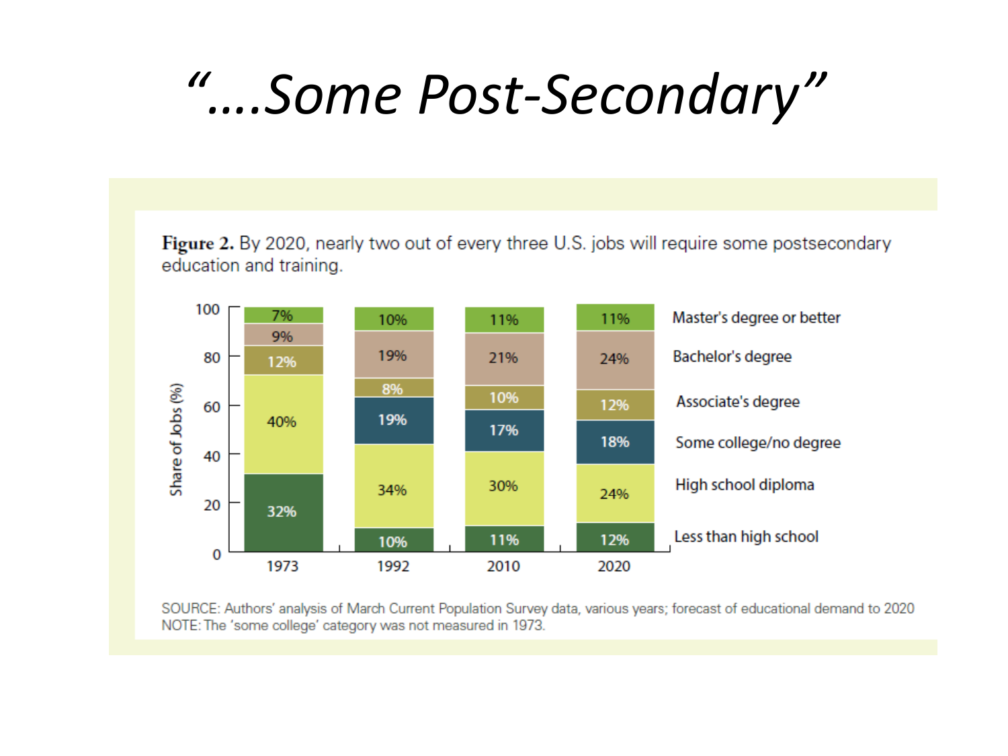# *"….Some Post-Secondary"*

Figure 2. By 2020, nearly two out of every three U.S. jobs will require some postsecondary education and training.



SOURCE: Authors' analysis of March Current Population Survey data, various years; forecast of educational demand to 2020 NOTE: The 'some college' category was not measured in 1973.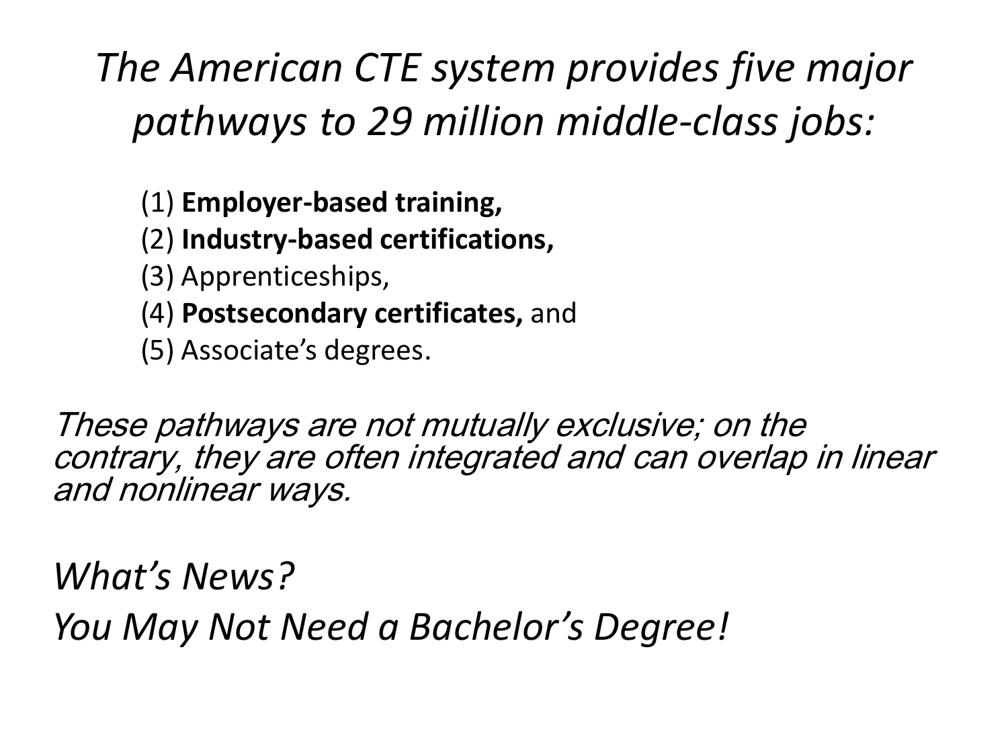### *The American CTE system provides five major pathways to 29 million middle-class jobs:*

- (1) **Employer-based training,**
- (2) **Industry-based certifications,**
- (3) Apprenticeships,
- (4) **Postsecondary certificates,** and
- (5) Associate's degrees.

These pathways are not mutually exclusive; on the contrary, they are often integrated and can overlap in linear and nonlinear ways.

*What's News?* 

*You May Not Need a Bachelor's Degree!*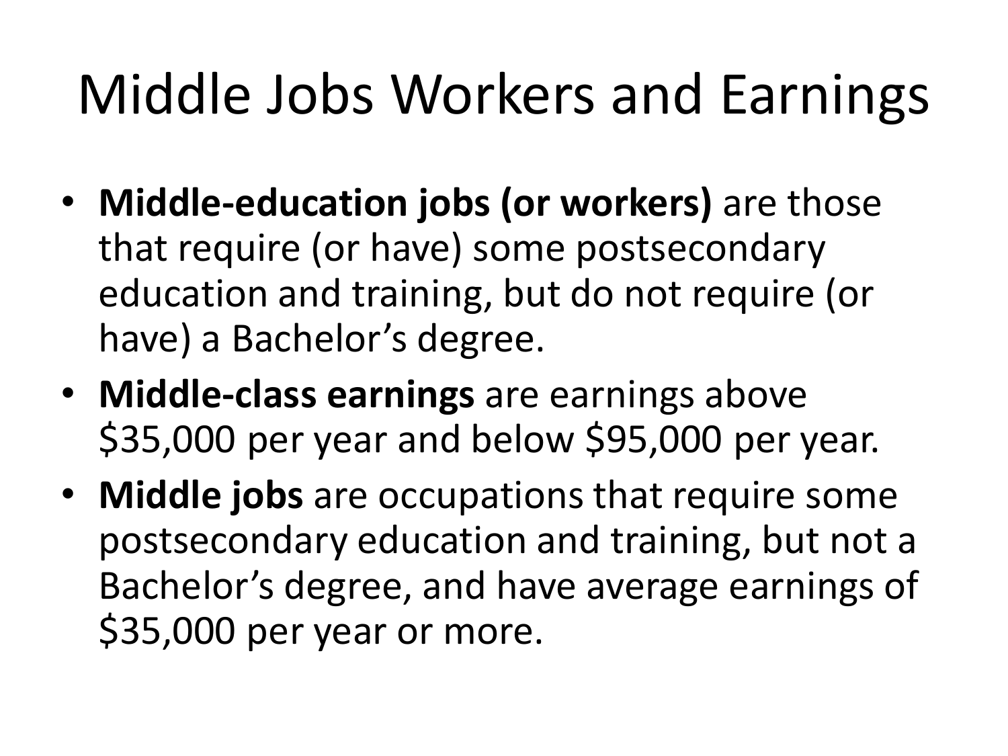# Middle Jobs Workers and Earnings

- **Middle-education jobs (or workers)** are those that require (or have) some postsecondary education and training, but do not require (or have) a Bachelor's degree.
- **Middle-class earnings** are earnings above \$35,000 per year and below \$95,000 per year.
- **Middle jobs** are occupations that require some postsecondary education and training, but not a Bachelor's degree, and have average earnings of \$35,000 per year or more.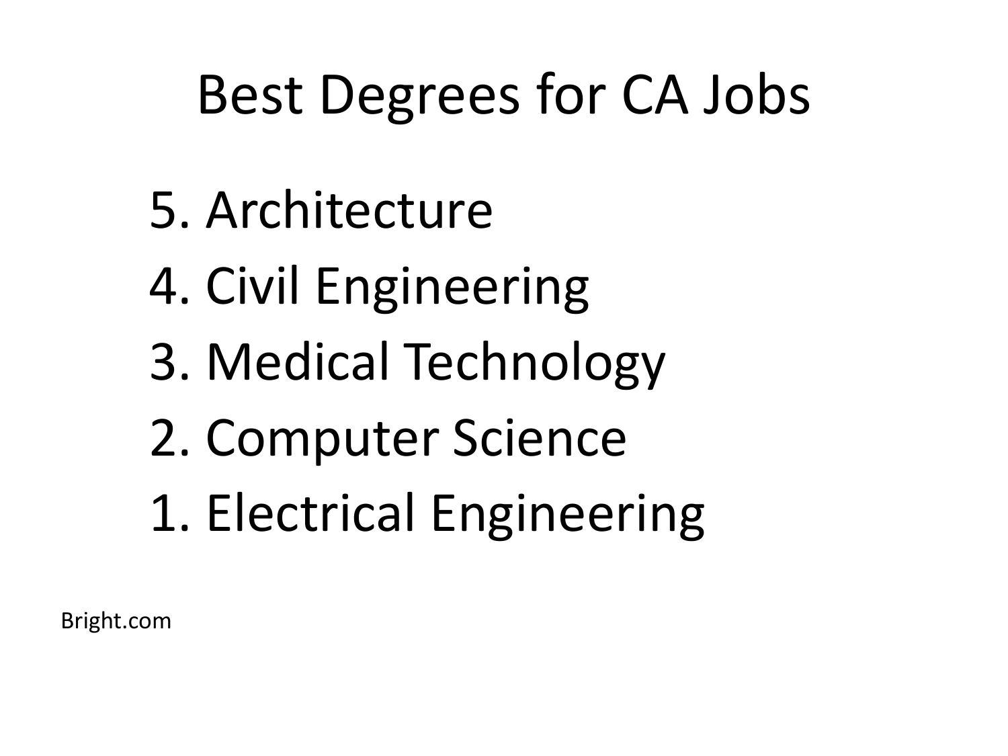# Best Degrees for CA Jobs

- 5. Architecture
- 4. Civil Engineering
- 3. Medical Technology
- 2. Computer Science
- 1. Electrical Engineering

Bright.com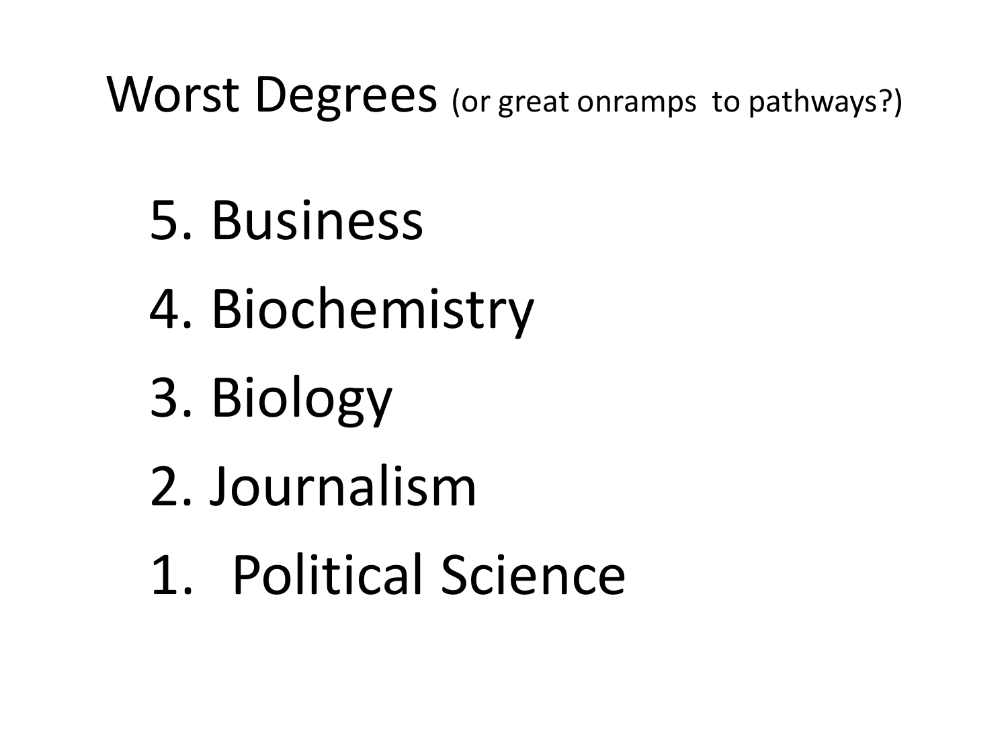Worst Degrees (or great onramps to pathways?)

- 5. Business
- 4. Biochemistry
- 3. Biology
- 2. Journalism
- 1. Political Science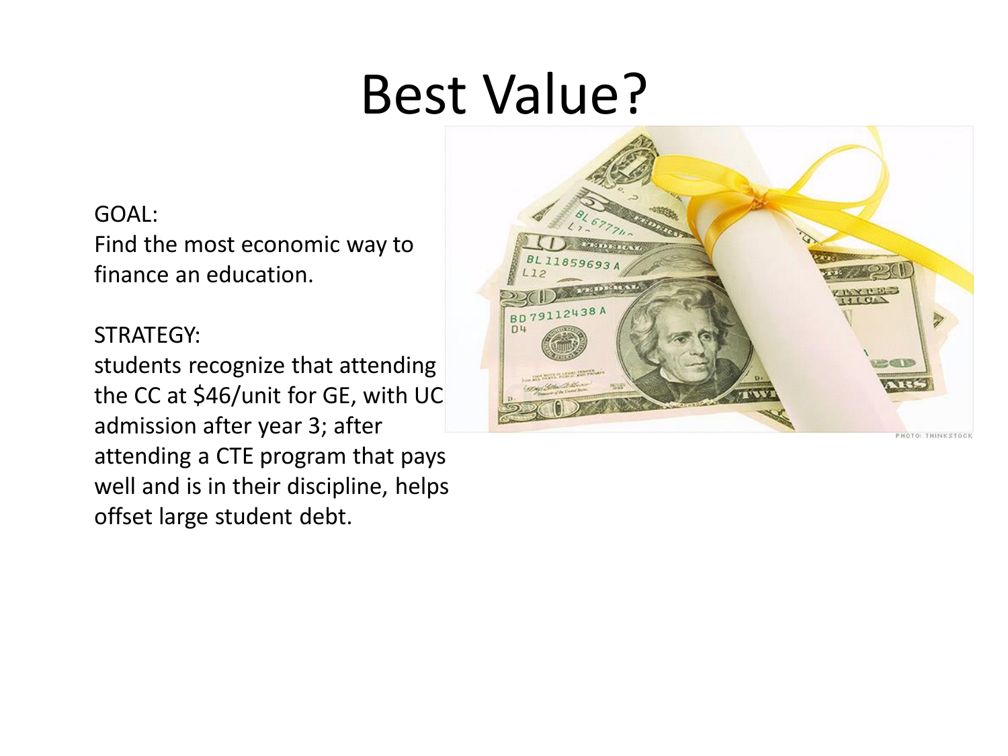# Best Value?

#### GOAL:

Find the most economic way to finance an education.

#### STRATEGY:

students recognize that attending the CC at \$46/unit for GE, with UC admission after year 3; after attending a CTE program that pays well and is in their discipline, helps offset large student debt.

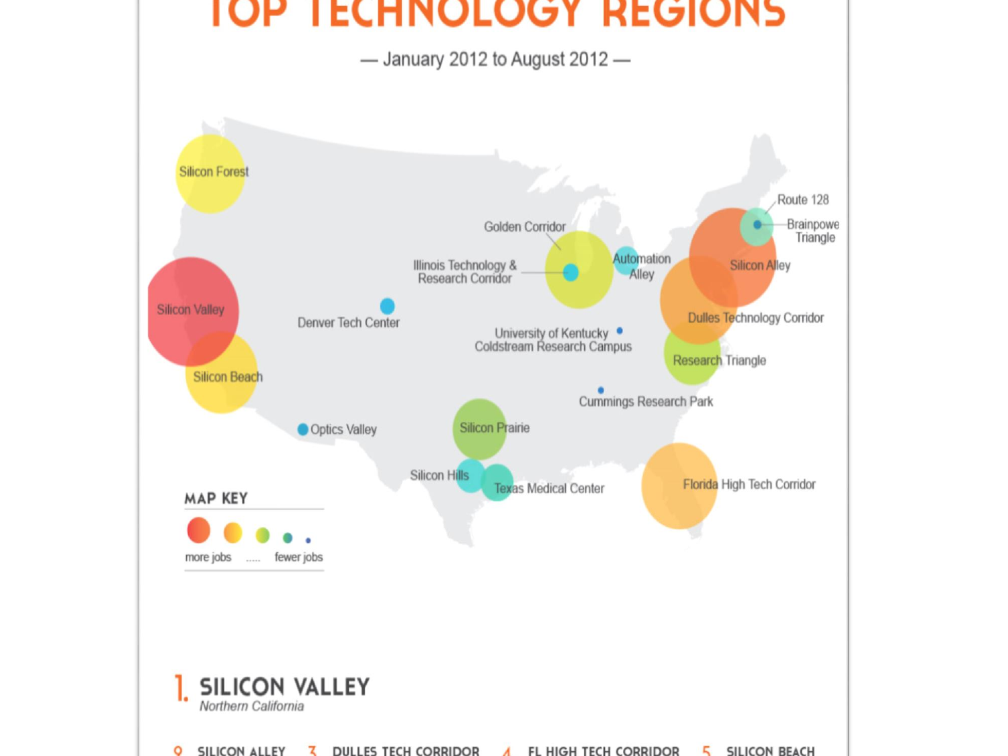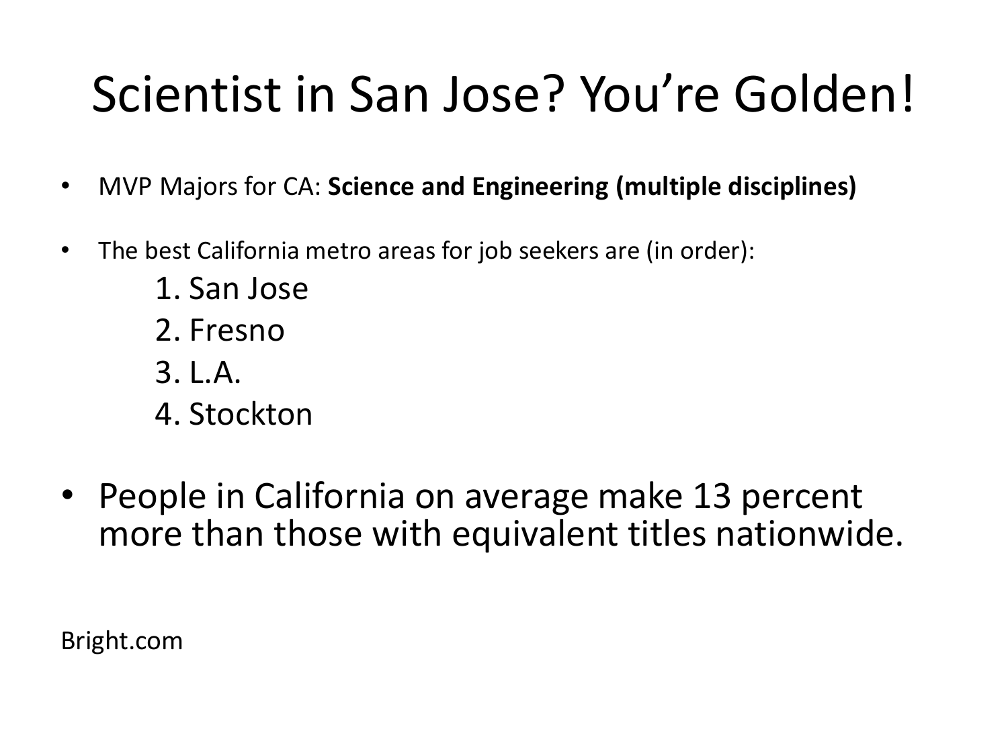### Scientist in San Jose? You're Golden!

- MVP Majors for CA: **Science and Engineering (multiple disciplines)**
- The best California metro areas for job seekers are (in order):
	- 1. San Jose
	- 2. Fresno
	- 3. L.A.
	- 4. Stockton
- People in California on average make 13 percent more than those with equivalent titles nationwide.

Bright.com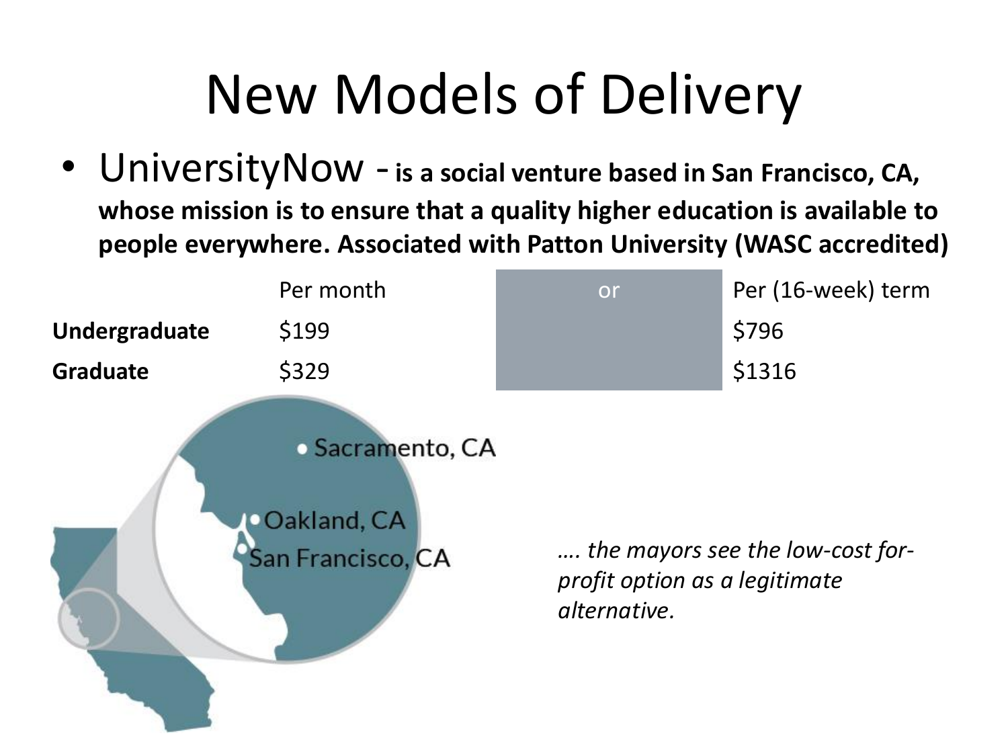# New Models of Delivery

• UniversityNow -**is a social venture based in San Francisco, CA, whose mission is to ensure that a quality higher education is available to people everywhere. Associated with Patton University (WASC accredited)** 

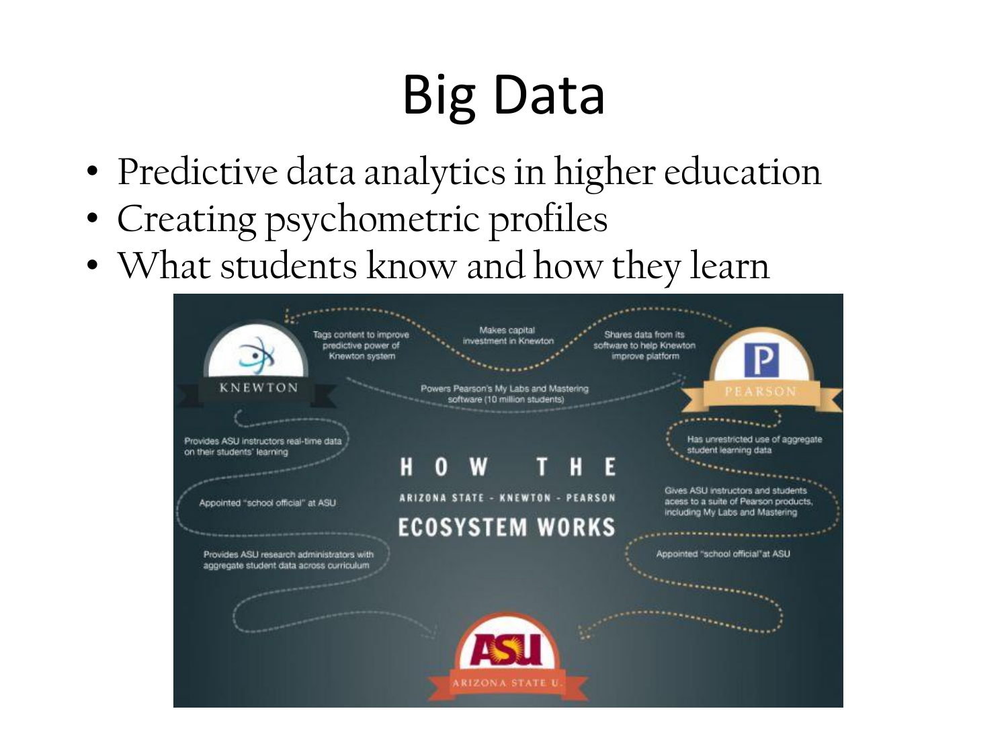# Big Data

- Predictive data analytics in higher education
- Creating psychometric profiles
- What students know and how they learn

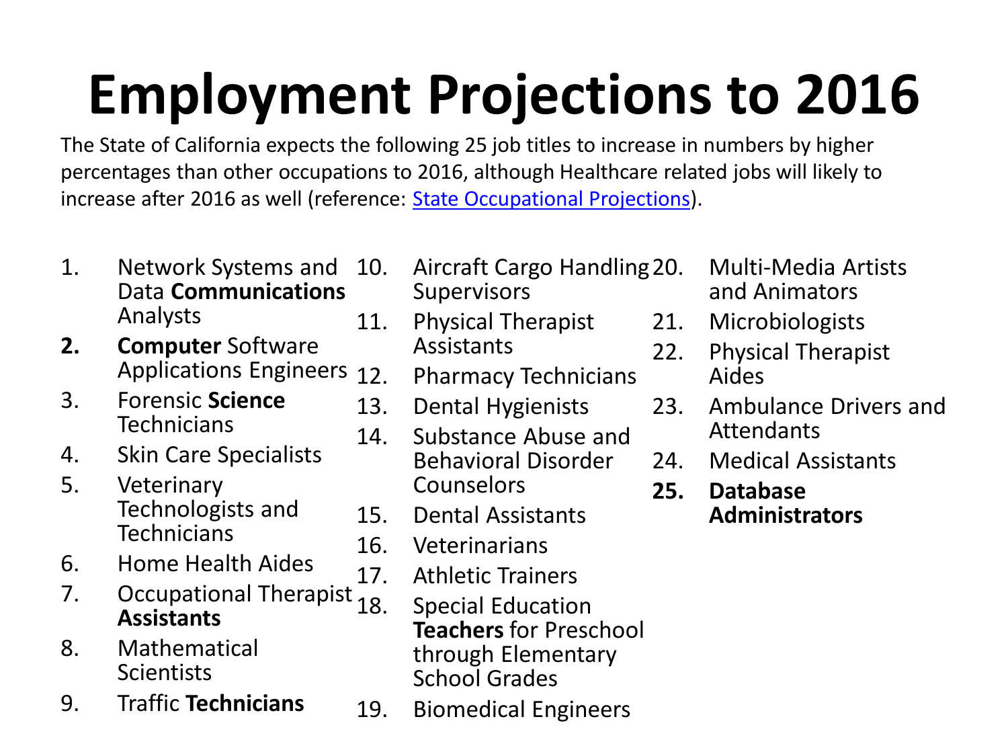# **Employment Projections to 2016**

The State of California expects the following 25 job titles to increase in numbers by higher percentages than other occupations to 2016, although Healthcare related jobs will likely to increase after 2016 as well (reference: [State Occupational Projections](http://www.projectionscentral.com/)).

- 1. Network Systems and Data **Communications** Analysts
- **2. Computer** Software Applications Engineers 12
- 3. Forensic **Science Technicians**
- 4. Skin Care Specialists
- 5. Veterinary Technologists and **Technicians**
- 6. Home Health Aides
- 7. Occupational Therapist <sub>18.</sub> **Assistants**
- 8. Mathematical **Scientists**
- 9. Traffic **Technicians**
- 10. Aircraft Cargo Handling **Supervisors**
- 11. Physical Therapist Assistants
	- 12. Pharmacy Technicians
- 13. Dental Hygienists
- 14. Substance Abuse and Behavioral Disorder **Counselors**
- 15. Dental Assistants
- 16. Veterinarians
- 17. Athletic Trainers
	- **Special Education Teachers** for Preschool through Elementary School Grades
- 19. Biomedical Engineers
- 20. Multi-Media Artists and Animators
- 21. Microbiologists
- 22. Physical Therapist Aides
- 23. Ambulance Drivers and Attendants
- 24. Medical Assistants
- **25. Database Administrators**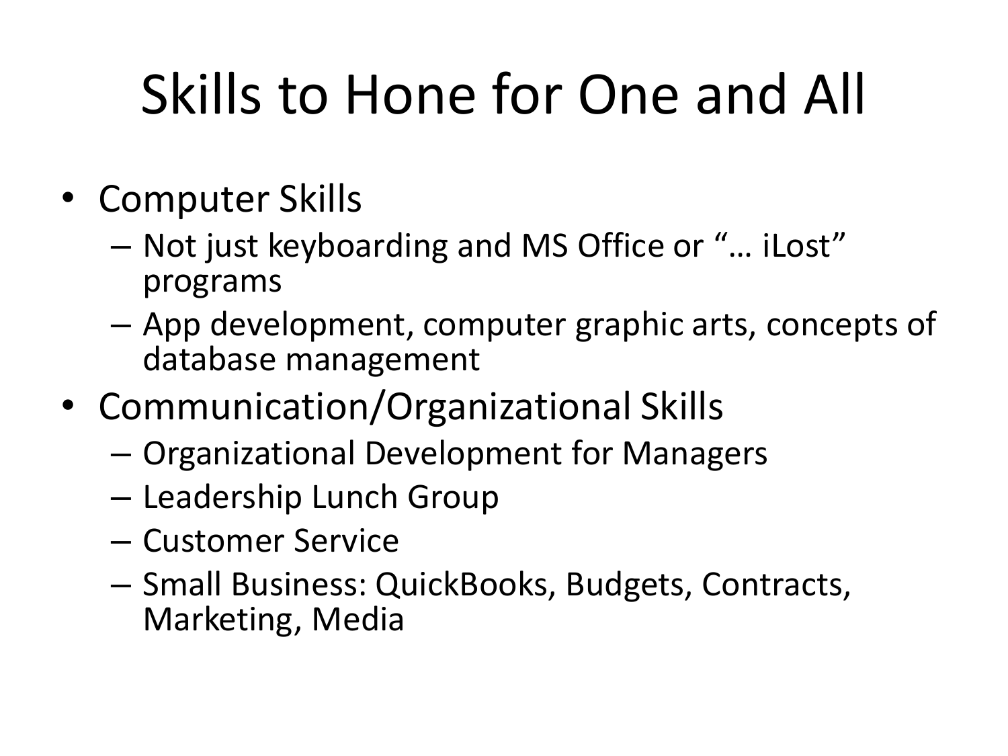# Skills to Hone for One and All

- Computer Skills
	- Not just keyboarding and MS Office or "… iLost" programs
	- App development, computer graphic arts, concepts of database management
- Communication/Organizational Skills
	- Organizational Development for Managers
	- Leadership Lunch Group
	- Customer Service
	- Small Business: QuickBooks, Budgets, Contracts, Marketing, Media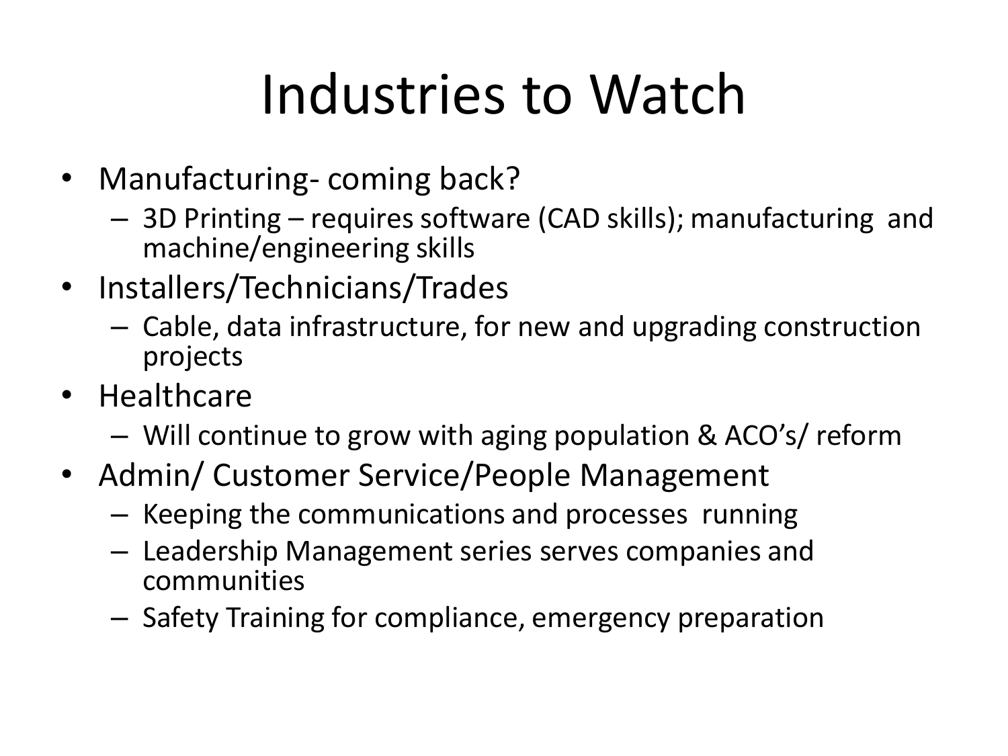# Industries to Watch

- Manufacturing-coming back?
	- 3D Printing requires software (CAD skills); manufacturing and machine/engineering skills
- Installers/Technicians/Trades
	- Cable, data infrastructure, for new and upgrading construction projects
- Healthcare
	- Will continue to grow with aging population & ACO's/ reform
- Admin/ Customer Service/People Management
	- Keeping the communications and processes running
	- Leadership Management series serves companies and communities
	- Safety Training for compliance, emergency preparation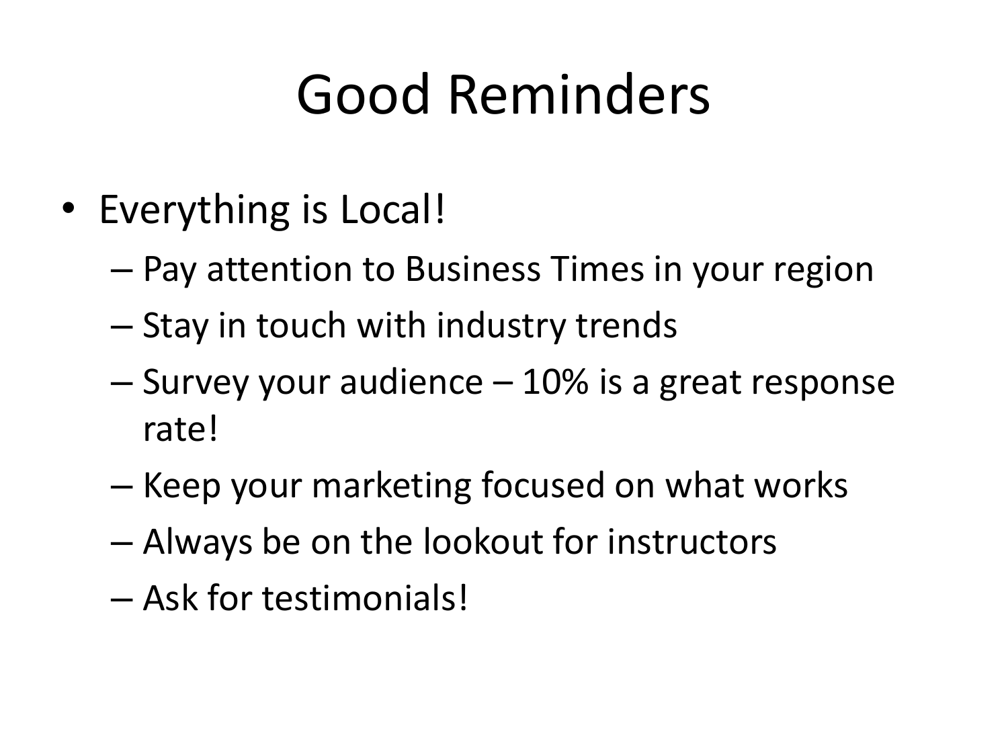# Good Reminders

- Everything is Local!
	- Pay attention to Business Times in your region
	- Stay in touch with industry trends
	- Survey your audience 10% is a great response rate!
	- Keep your marketing focused on what works
	- Always be on the lookout for instructors
	- Ask for testimonials!